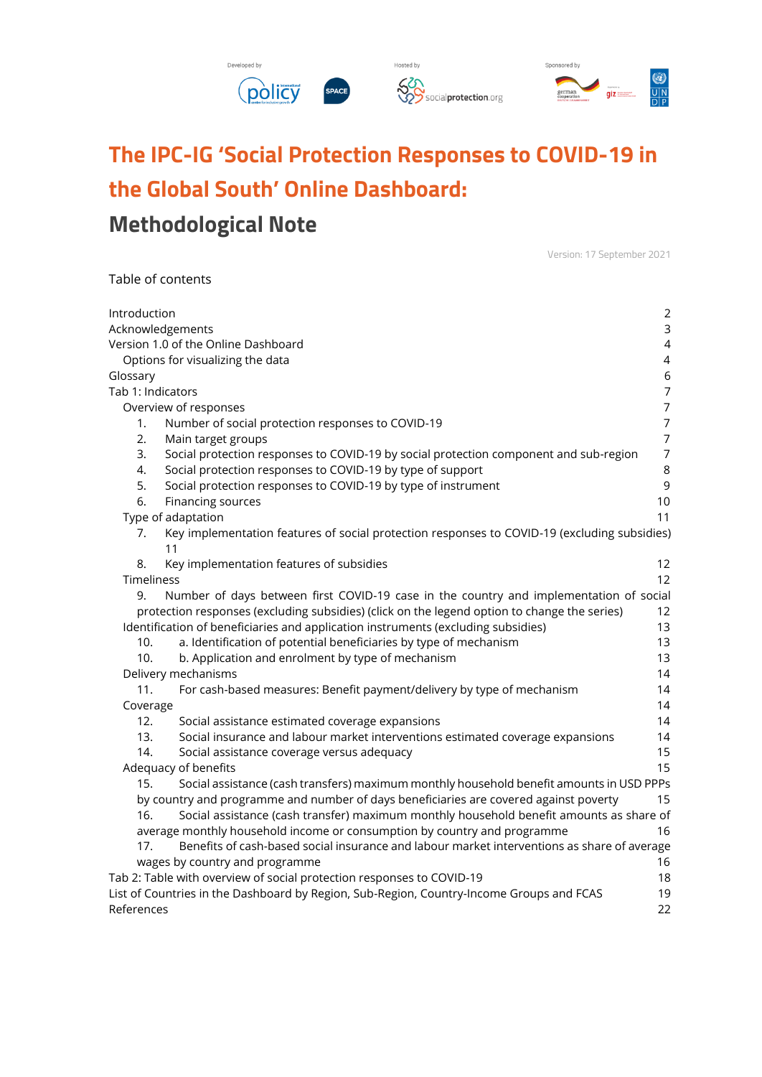

# **The IPC-IG 'Social Protection Responses to COVID-19 in the Global South' Online Dashboard:**

## **Methodological Note**

Table of contents

Version: 17 September 2021

| Introduction      |                                                                                                    | $\overline{2}$ |
|-------------------|----------------------------------------------------------------------------------------------------|----------------|
| Acknowledgements  |                                                                                                    | 3              |
|                   | Version 1.0 of the Online Dashboard                                                                | $\overline{4}$ |
|                   | Options for visualizing the data                                                                   | 4              |
| Glossary          |                                                                                                    | $\,$ 6 $\,$    |
| Tab 1: Indicators |                                                                                                    | $\overline{7}$ |
|                   | Overview of responses                                                                              | $\overline{7}$ |
| 1.                | Number of social protection responses to COVID-19                                                  | $\overline{7}$ |
| 2.                | Main target groups                                                                                 | $\overline{7}$ |
| 3.                | Social protection responses to COVID-19 by social protection component and sub-region              | $\overline{7}$ |
| 4.                | Social protection responses to COVID-19 by type of support                                         | $\,8\,$        |
| 5.                | Social protection responses to COVID-19 by type of instrument                                      | $\mathsf 9$    |
| 6.                | Financing sources                                                                                  | 10             |
|                   | Type of adaptation                                                                                 | 11             |
| 7.                | Key implementation features of social protection responses to COVID-19 (excluding subsidies)<br>11 |                |
| 8.                | Key implementation features of subsidies                                                           | 12             |
| Timeliness        |                                                                                                    | 12             |
| 9.                | Number of days between first COVID-19 case in the country and implementation of social             |                |
|                   | protection responses (excluding subsidies) (click on the legend option to change the series)       | 12             |
|                   | Identification of beneficiaries and application instruments (excluding subsidies)                  | 13             |
| 10.               | a. Identification of potential beneficiaries by type of mechanism                                  | 13             |
| 10.               | b. Application and enrolment by type of mechanism                                                  | 13             |
|                   | Delivery mechanisms                                                                                | 14             |
| 11.               | For cash-based measures: Benefit payment/delivery by type of mechanism                             | 14             |
| Coverage          |                                                                                                    | 14             |
| 12.               | Social assistance estimated coverage expansions                                                    | 14             |
| 13.               | Social insurance and labour market interventions estimated coverage expansions                     | 14             |
| 14.               | Social assistance coverage versus adequacy                                                         | 15             |
|                   | Adequacy of benefits                                                                               | 15             |
| 15.               | Social assistance (cash transfers) maximum monthly household benefit amounts in USD PPPs           |                |
|                   | by country and programme and number of days beneficiaries are covered against poverty              | 15             |
| 16.               | Social assistance (cash transfer) maximum monthly household benefit amounts as share of            |                |
|                   | average monthly household income or consumption by country and programme                           | 16             |
| 17.               | Benefits of cash-based social insurance and labour market interventions as share of average        |                |
|                   | wages by country and programme                                                                     | 16             |
|                   | Tab 2: Table with overview of social protection responses to COVID-19                              | 18             |
|                   | List of Countries in the Dashboard by Region, Sub-Region, Country-Income Groups and FCAS           | 19             |
| References        |                                                                                                    | 22             |
|                   |                                                                                                    |                |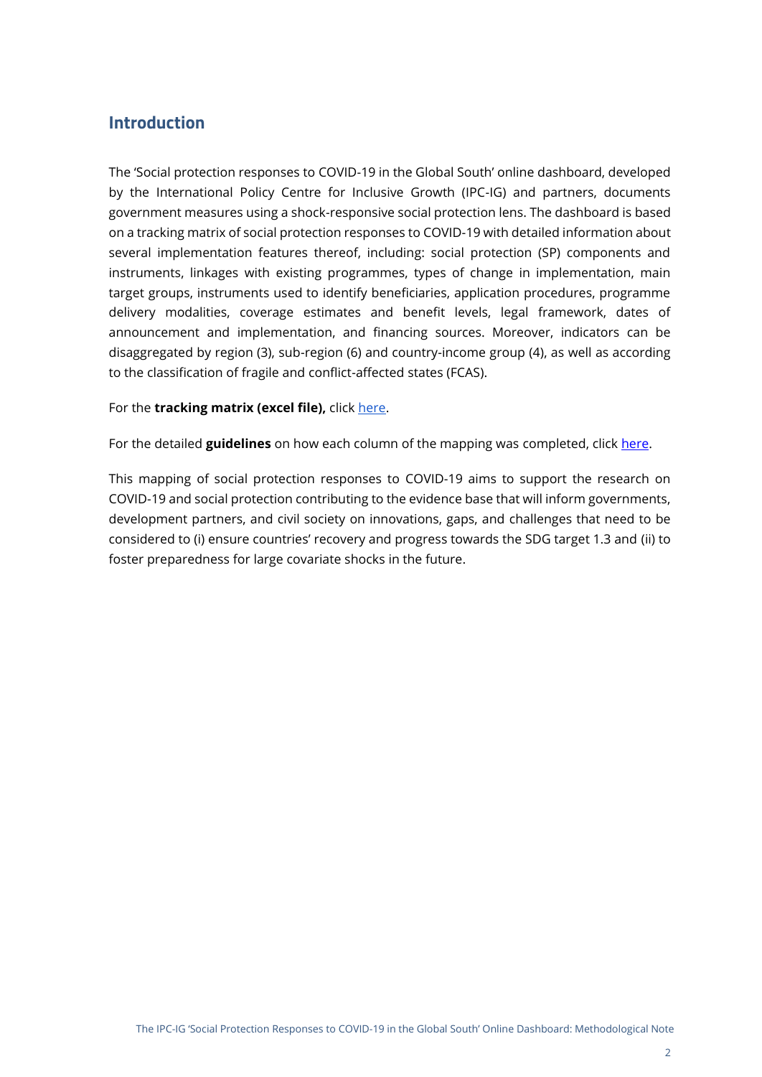## <span id="page-1-0"></span>**Introduction**

The 'Social protection responses to COVID-19 in the Global South' online dashboard, developed by the International Policy Centre for Inclusive Growth (IPC-IG) and partners, documents government measures using a shock-responsive social protection lens. The dashboard is based on a tracking matrix of social protection responses to COVID-19 with detailed information about several implementation features thereof, including: social protection (SP) components and instruments, linkages with existing programmes, types of change in implementation, main target groups, instruments used to identify beneficiaries, application procedures, programme delivery modalities, coverage estimates and benefit levels, legal framework, dates of announcement and implementation, and financing sources. Moreover, indicators can be disaggregated by region (3), sub-region (6) and country-income group (4), as well as according to the classification of fragile and conflict-affected states (FCAS).

#### For the **tracking matrix (excel file)**, click [here.](https://docs.google.com/spreadsheets/d/e/2PACX-1vRIwAx_17fmGICHjPxEMj7aany2EVCTjAAaEYAGr4ExfXt3hL4LN9dUCWJM_pZjZQ/pub?output=xlsx)

For the detailed **guidelines** on how each column of the mapping was completed, click [here.](https://socialprotection.org/sites/default/files/Guidelines_IPC-IG%20COVID-19%20SP%20response%20mapping_%20revised%20format_clean.pdf)

This mapping of social protection responses to COVID-19 aims to support the research on COVID-19 and social protection contributing to the evidence base that will inform governments, development partners, and civil society on innovations, gaps, and challenges that need to be considered to (i) ensure countries' recovery and progress towards the SDG target 1.3 and (ii) to foster preparedness for large covariate shocks in the future.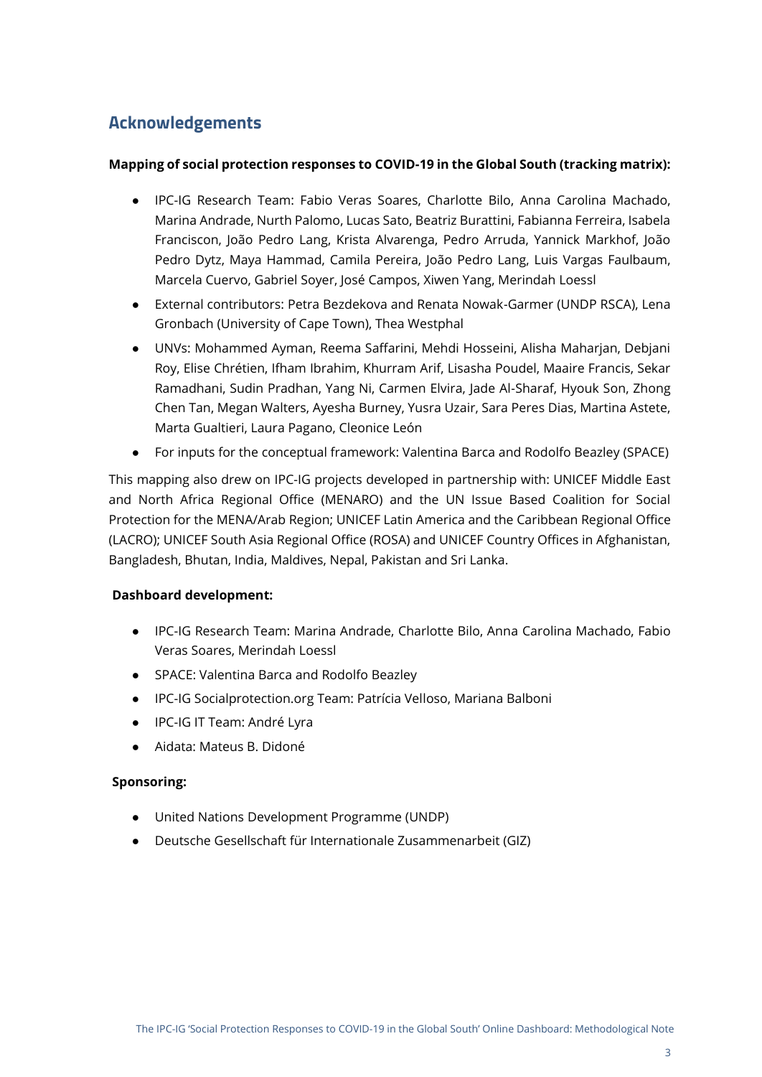## <span id="page-2-0"></span>**Acknowledgements**

#### **Mapping of social protection responses to COVID-19 in the Global South (tracking matrix):**

- IPC-IG Research Team: Fabio Veras Soares, Charlotte Bilo, Anna Carolina Machado, Marina Andrade, Nurth Palomo, Lucas Sato, Beatriz Burattini, Fabianna Ferreira, Isabela Franciscon, João Pedro Lang, Krista Alvarenga, Pedro Arruda, Yannick Markhof, João Pedro Dytz, Maya Hammad, Camila Pereira, João Pedro Lang, Luis Vargas Faulbaum, Marcela Cuervo, Gabriel Soyer, José Campos, Xiwen Yang, Merindah Loessl
- External contributors: Petra Bezdekova and Renata Nowak-Garmer (UNDP RSCA), Lena Gronbach (University of Cape Town), Thea Westphal
- UNVs: Mohammed Ayman, Reema Saffarini, Mehdi Hosseini, Alisha Maharjan, Debjani Roy, Elise Chrétien, Ifham Ibrahim, Khurram Arif, Lisasha Poudel, Maaire Francis, Sekar Ramadhani, Sudin Pradhan, Yang Ni, Carmen Elvira, Jade Al-Sharaf, Hyouk Son, Zhong Chen Tan, Megan Walters, Ayesha Burney, Yusra Uzair, Sara Peres Dias, Martina Astete, Marta Gualtieri, Laura Pagano, Cleonice León
- For inputs for the conceptual framework: Valentina Barca and Rodolfo Beazley (SPACE)

This mapping also drew on IPC-IG projects developed in partnership with: UNICEF Middle East and North Africa Regional Office (MENARO) and the UN Issue Based Coalition for Social Protection for the MENA/Arab Region; UNICEF Latin America and the Caribbean Regional Office (LACRO); UNICEF South Asia Regional Office (ROSA) and UNICEF Country Offices in Afghanistan, Bangladesh, Bhutan, India, Maldives, Nepal, Pakistan and Sri Lanka.

#### **Dashboard development:**

- IPC-IG Research Team: Marina Andrade, Charlotte Bilo, Anna Carolina Machado, Fabio Veras Soares, Merindah Loessl
- SPACE: Valentina Barca and Rodolfo Beazley
- IPC-IG Socialprotection.org Team: Patrícia Velloso, Mariana Balboni
- IPC-IG IT Team: André Lyra
- Aidata: Mateus B. Didoné

#### **Sponsoring:**

- United Nations Development Programme (UNDP)
- Deutsche Gesellschaft für Internationale Zusammenarbeit (GIZ)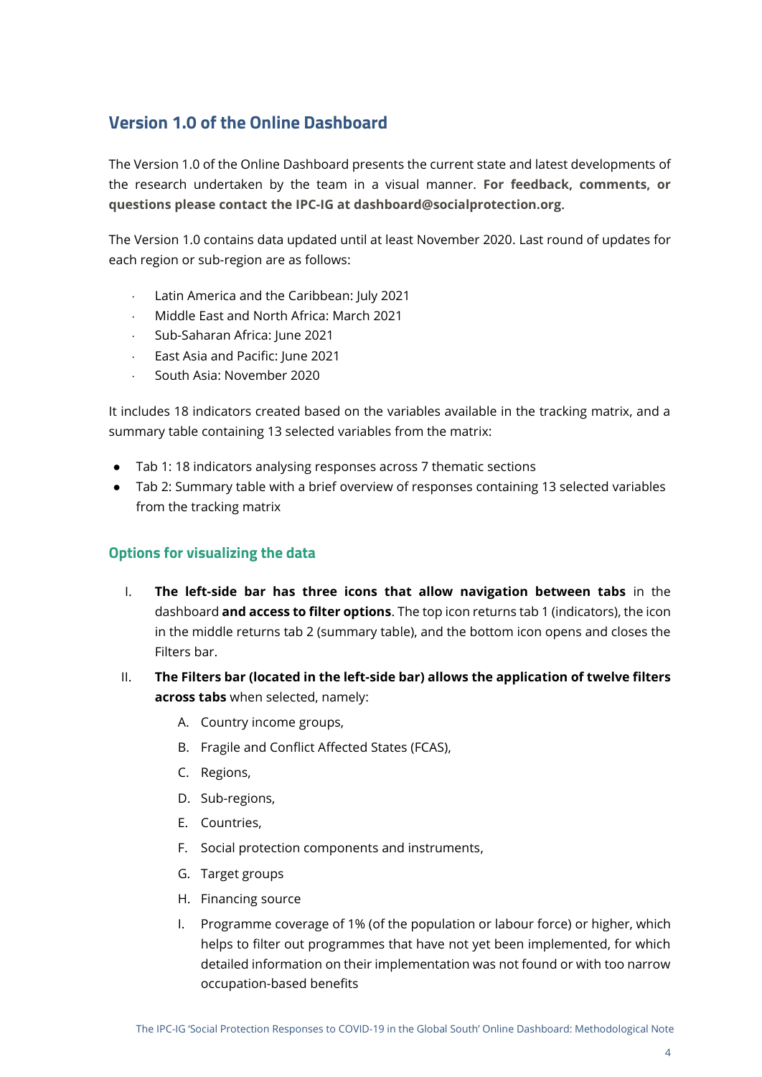## <span id="page-3-0"></span>**Version 1.0 of the Online Dashboard**

The Version 1.0 of the Online Dashboard presents the current state and latest developments of the research undertaken by the team in a visual manner. **For feedback, comments, or questions please contact the IPC-IG at dashboard@socialprotection.org**.

The Version 1.0 contains data updated until at least November 2020. Last round of updates for each region or sub-region are as follows:

- Latin America and the Caribbean: July 2021
- Middle East and North Africa: March 2021
- Sub-Saharan Africa: June 2021
- East Asia and Pacific: June 2021
- South Asia: November 2020

It includes 18 indicators created based on the variables available in the tracking matrix, and a summary table containing 13 selected variables from the matrix:

- Tab 1: 18 indicators analysing responses across 7 thematic sections
- Tab 2: Summary table with a brief overview of responses containing 13 selected variables from the tracking matrix

#### <span id="page-3-1"></span>**Options for visualizing the data**

- I. **The left-side bar has three icons that allow navigation between tabs** in the dashboard **and access to filter options**. The top icon returns tab 1 (indicators), the icon in the middle returns tab 2 (summary table), and the bottom icon opens and closes the Filters bar.
- II. **The Filters bar (located in the left-side bar) allows the application of twelve filters across tabs** when selected, namely:
	- A. Country income groups,
	- B. Fragile and Conflict Affected States (FCAS),
	- C. Regions,
	- D. Sub-regions,
	- E. Countries,
	- F. Social protection components and instruments,
	- G. Target groups
	- H. Financing source
	- I. Programme coverage of 1% (of the population or labour force) or higher, which helps to filter out programmes that have not yet been implemented, for which detailed information on their implementation was not found or with too narrow occupation-based benefits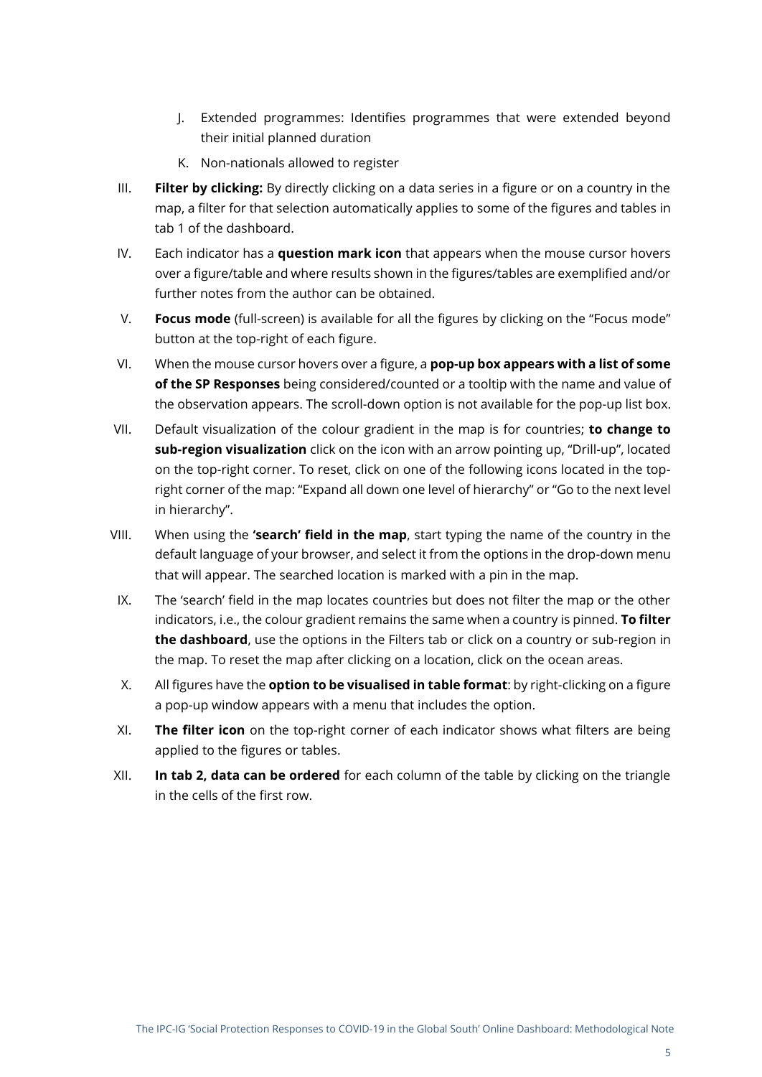- J. Extended programmes: Identifies programmes that were extended beyond their initial planned duration
- K. Non-nationals allowed to register
- III. **Filter by clicking:** By directly clicking on a data series in a figure or on a country in the map, a filter for that selection automatically applies to some of the figures and tables in tab 1 of the dashboard.
- IV. Each indicator has a **question mark icon** that appears when the mouse cursor hovers over a figure/table and where results shown in the figures/tables are exemplified and/or further notes from the author can be obtained.
- V. **Focus mode** (full-screen) is available for all the figures by clicking on the "Focus mode" button at the top-right of each figure.
- VI. When the mouse cursor hovers over a figure, a **pop-up box appears with a list of some of the SP Responses** being considered/counted or a tooltip with the name and value of the observation appears. The scroll-down option is not available for the pop-up list box.
- VII. Default visualization of the colour gradient in the map is for countries; **to change to sub-region visualization** click on the icon with an arrow pointing up, "Drill-up", located on the top-right corner. To reset, click on one of the following icons located in the topright corner of the map: "Expand all down one level of hierarchy" or "Go to the next level in hierarchy".
- VIII. When using the **'search' field in the map**, start typing the name of the country in the default language of your browser, and select it from the options in the drop-down menu that will appear. The searched location is marked with a pin in the map.
- IX. The 'search' field in the map locates countries but does not filter the map or the other indicators, i.e., the colour gradient remains the same when a country is pinned. **To filter the dashboard**, use the options in the Filters tab or click on a country or sub-region in the map. To reset the map after clicking on a location, click on the ocean areas.
- X. All figures have the **option to be visualised in table format**: by right-clicking on a figure a pop-up window appears with a menu that includes the option.
- XI. **The filter icon** on the top-right corner of each indicator shows what filters are being applied to the figures or tables.
- XII. **In tab 2, data can be ordered** for each column of the table by clicking on the triangle in the cells of the first row.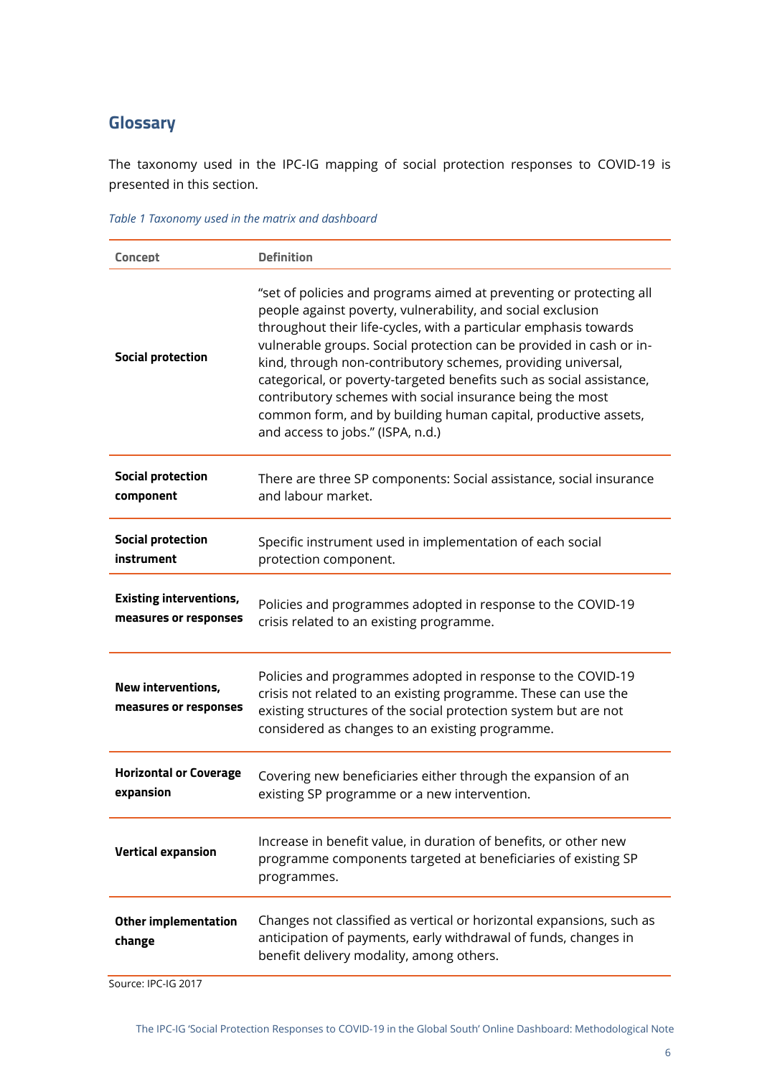## <span id="page-5-0"></span>**Glossary**

The taxonomy used in the IPC-IG mapping of social protection responses to COVID-19 is presented in this section.

| Concept                                                 | <b>Definition</b>                                                                                                                                                                                                                                                                                                                                                                                                                                                                                                                                                                         |
|---------------------------------------------------------|-------------------------------------------------------------------------------------------------------------------------------------------------------------------------------------------------------------------------------------------------------------------------------------------------------------------------------------------------------------------------------------------------------------------------------------------------------------------------------------------------------------------------------------------------------------------------------------------|
| <b>Social protection</b>                                | "set of policies and programs aimed at preventing or protecting all<br>people against poverty, vulnerability, and social exclusion<br>throughout their life-cycles, with a particular emphasis towards<br>vulnerable groups. Social protection can be provided in cash or in-<br>kind, through non-contributory schemes, providing universal,<br>categorical, or poverty-targeted benefits such as social assistance,<br>contributory schemes with social insurance being the most<br>common form, and by building human capital, productive assets,<br>and access to jobs." (ISPA, n.d.) |
| <b>Social protection</b><br>component                   | There are three SP components: Social assistance, social insurance<br>and labour market.                                                                                                                                                                                                                                                                                                                                                                                                                                                                                                  |
| <b>Social protection</b><br>instrument                  | Specific instrument used in implementation of each social<br>protection component.                                                                                                                                                                                                                                                                                                                                                                                                                                                                                                        |
| <b>Existing interventions,</b><br>measures or responses | Policies and programmes adopted in response to the COVID-19<br>crisis related to an existing programme.                                                                                                                                                                                                                                                                                                                                                                                                                                                                                   |
| New interventions,<br>measures or responses             | Policies and programmes adopted in response to the COVID-19<br>crisis not related to an existing programme. These can use the<br>existing structures of the social protection system but are not<br>considered as changes to an existing programme.                                                                                                                                                                                                                                                                                                                                       |
| <b>Horizontal or Coverage</b><br>expansion              | Covering new beneficiaries either through the expansion of an<br>existing SP programme or a new intervention.                                                                                                                                                                                                                                                                                                                                                                                                                                                                             |
| <b>Vertical expansion</b>                               | Increase in benefit value, in duration of benefits, or other new<br>programme components targeted at beneficiaries of existing SP<br>programmes.                                                                                                                                                                                                                                                                                                                                                                                                                                          |
| <b>Other implementation</b><br>change                   | Changes not classified as vertical or horizontal expansions, such as<br>anticipation of payments, early withdrawal of funds, changes in<br>benefit delivery modality, among others.                                                                                                                                                                                                                                                                                                                                                                                                       |

Source: IPC-IG 2017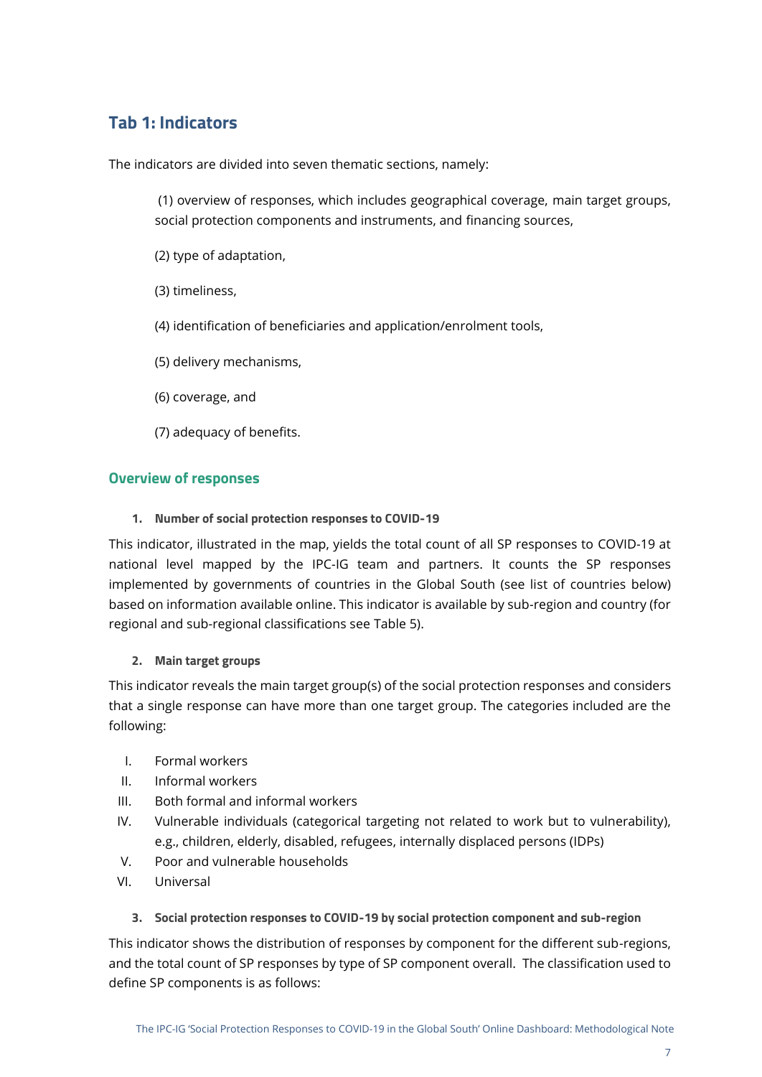## <span id="page-6-0"></span>**Tab 1: Indicators**

The indicators are divided into seven thematic sections, namely:

(1) overview of responses, which includes geographical coverage, main target groups, social protection components and instruments, and financing sources,

- (2) type of adaptation,
- (3) timeliness,
- (4) identification of beneficiaries and application/enrolment tools,
- (5) delivery mechanisms,
- (6) coverage, and
- (7) adequacy of benefits.

#### <span id="page-6-1"></span>**Overview of responses**

<span id="page-6-2"></span>**1. Number of social protection responses to COVID-19**

This indicator, illustrated in the map, yields the total count of all SP responses to COVID-19 at national level mapped by the IPC-IG team and partners. It counts the SP responses implemented by governments of countries in the Global South (see list of countries below) based on information available online. This indicator is available by sub-region and country (for regional and sub-regional classifications see [Table 5\)](#page-19-0).

#### <span id="page-6-3"></span>**2. Main target groups**

This indicator reveals the main target group(s) of the social protection responses and considers that a single response can have more than one target group. The categories included are the following:

- I. Formal workers
- II. Informal workers
- III. Both formal and informal workers
- IV. Vulnerable individuals (categorical targeting not related to work but to vulnerability), e.g., children, elderly, disabled, refugees, internally displaced persons (IDPs)
- V. Poor and vulnerable households
- VI. Universal

#### <span id="page-6-4"></span>**3. Social protection responses to COVID-19 by social protection component and sub-region**

This indicator shows the distribution of responses by component for the different sub-regions, and the total count of SP responses by type of SP component overall. The classification used to define SP components is as follows: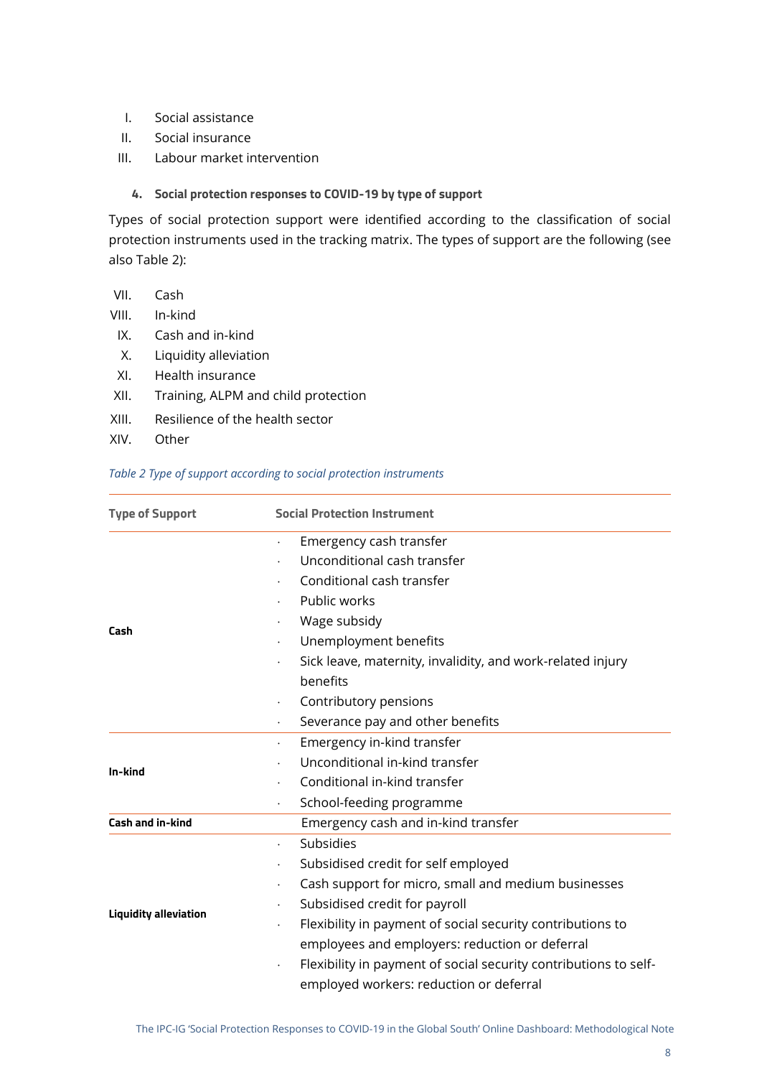- I. Social assistance
- II. Social insurance
- III. Labour market intervention

#### <span id="page-7-0"></span>**4. Social protection responses to COVID-19 by type of support**

Types of social protection support were identified according to the classification of social protection instruments used in the tracking matrix. The types of support are the following (see also [Table 2\)](#page-7-1):

- VII. Cash
- VIII. In-kind
- IX. Cash and in-kind
- X. Liquidity alleviation
- XI. Health insurance
- XII. Training, ALPM and child protection
- XIII. Resilience of the health sector
- XIV. Other

#### <span id="page-7-1"></span>*Table 2 Type of support according to social protection instruments*

| <b>Type of Support</b>       | <b>Social Protection Instrument</b>                                                                         |  |  |  |
|------------------------------|-------------------------------------------------------------------------------------------------------------|--|--|--|
|                              | Emergency cash transfer<br>$\bullet$                                                                        |  |  |  |
|                              | Unconditional cash transfer                                                                                 |  |  |  |
|                              | Conditional cash transfer                                                                                   |  |  |  |
|                              | Public works                                                                                                |  |  |  |
| Cash                         | Wage subsidy                                                                                                |  |  |  |
|                              | Unemployment benefits                                                                                       |  |  |  |
|                              | Sick leave, maternity, invalidity, and work-related injury                                                  |  |  |  |
|                              | benefits                                                                                                    |  |  |  |
|                              | Contributory pensions<br>$\bullet$                                                                          |  |  |  |
|                              | Severance pay and other benefits                                                                            |  |  |  |
|                              | Emergency in-kind transfer                                                                                  |  |  |  |
| In-kind                      | Unconditional in-kind transfer                                                                              |  |  |  |
|                              | Conditional in-kind transfer                                                                                |  |  |  |
|                              | School-feeding programme                                                                                    |  |  |  |
| <b>Cash and in-kind</b>      | Emergency cash and in-kind transfer                                                                         |  |  |  |
|                              | Subsidies                                                                                                   |  |  |  |
|                              | Subsidised credit for self employed                                                                         |  |  |  |
|                              | Cash support for micro, small and medium businesses                                                         |  |  |  |
| <b>Liquidity alleviation</b> | Subsidised credit for payroll                                                                               |  |  |  |
|                              | Flexibility in payment of social security contributions to                                                  |  |  |  |
|                              | employees and employers: reduction or deferral                                                              |  |  |  |
|                              | Flexibility in payment of social security contributions to self-<br>employed workers: reduction or deferral |  |  |  |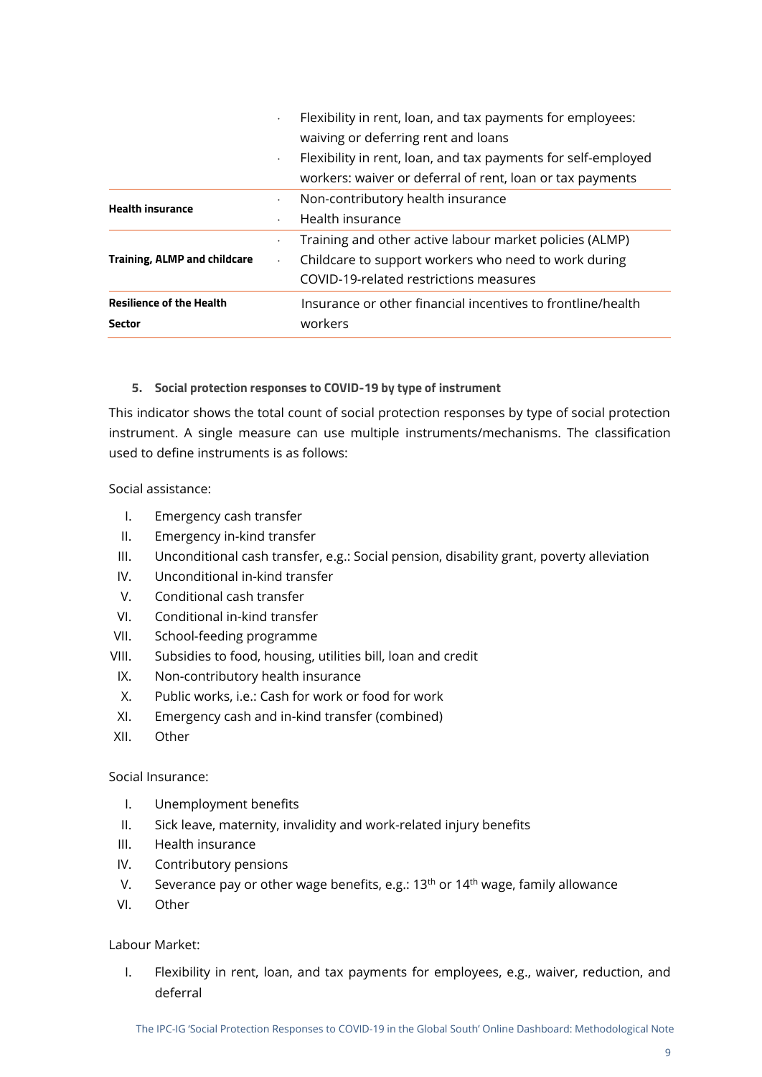| <b>Sector</b>                       |                      | workers                                                       |
|-------------------------------------|----------------------|---------------------------------------------------------------|
| <b>Resilience of the Health</b>     |                      | Insurance or other financial incentives to frontline/health   |
|                                     |                      | COVID-19-related restrictions measures                        |
| <b>Training, ALMP and childcare</b> | $\bullet$            | Childcare to support workers who need to work during          |
|                                     | $\bullet$            | Training and other active labour market policies (ALMP)       |
|                                     | $\ddot{\phantom{0}}$ | Health insurance                                              |
| <b>Health insurance</b>             | $\bullet$            | Non-contributory health insurance                             |
|                                     |                      | workers: waiver or deferral of rent, loan or tax payments     |
|                                     | $\bullet$            | Flexibility in rent, loan, and tax payments for self-employed |
|                                     |                      | waiving or deferring rent and loans                           |
|                                     |                      | Flexibility in rent, loan, and tax payments for employees:    |

#### <span id="page-8-0"></span>**5. Social protection responses to COVID-19 by type of instrument**

This indicator shows the total count of social protection responses by type of social protection instrument. A single measure can use multiple instruments/mechanisms. The classification used to define instruments is as follows:

Social assistance:

- I. Emergency cash transfer
- II. Emergency in-kind transfer
- III. Unconditional cash transfer, e.g.: Social pension, disability grant, poverty alleviation
- IV. Unconditional in-kind transfer
- V. Conditional cash transfer
- VI. Conditional in-kind transfer
- VII. School-feeding programme
- VIII. Subsidies to food, housing, utilities bill, loan and credit
- IX. Non-contributory health insurance
- X. Public works, i.e.: Cash for work or food for work
- XI. Emergency cash and in-kind transfer (combined)
- XII. Other

#### Social Insurance:

- I. Unemployment benefits
- II. Sick leave, maternity, invalidity and work-related injury benefits
- III. Health insurance
- IV. Contributory pensions
- V. Severance pay or other wage benefits, e.g.:  $13<sup>th</sup>$  or  $14<sup>th</sup>$  wage, family allowance
- VI. Other

#### Labour Market:

I. Flexibility in rent, loan, and tax payments for employees, e.g., waiver, reduction, and deferral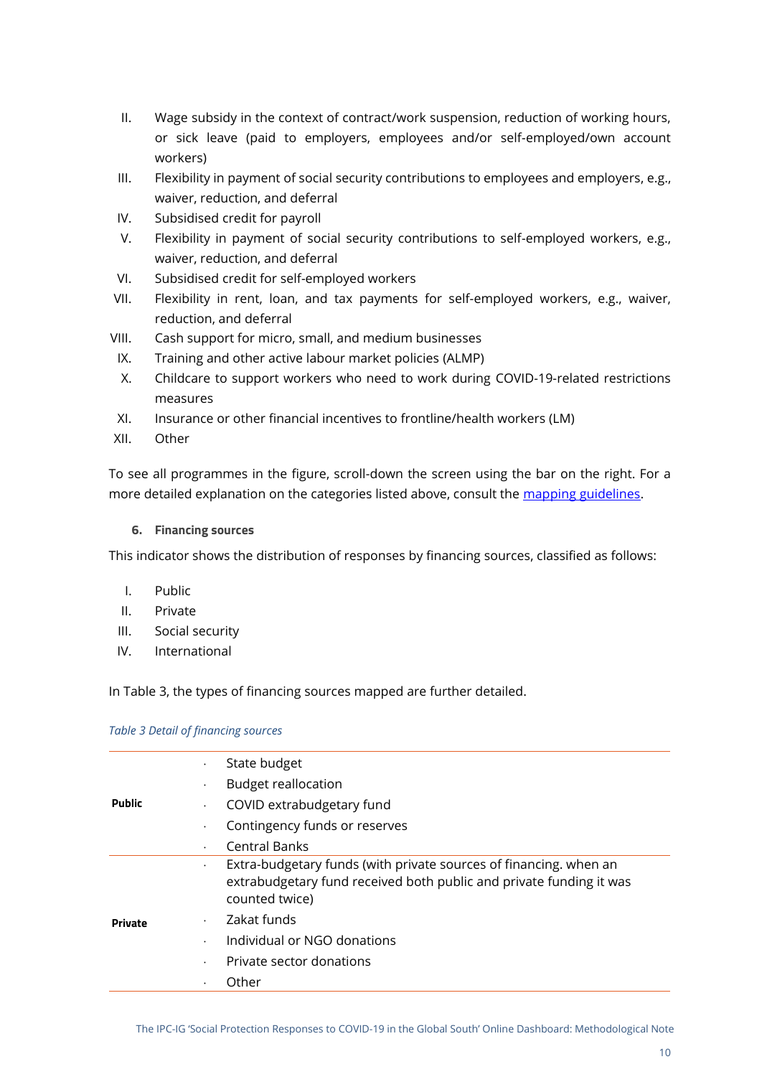- II. Wage subsidy in the context of contract/work suspension, reduction of working hours, or sick leave (paid to employers, employees and/or self-employed/own account workers)
- III. Flexibility in payment of social security contributions to employees and employers, e.g., waiver, reduction, and deferral
- IV. Subsidised credit for payroll
- V. Flexibility in payment of social security contributions to self-employed workers, e.g., waiver, reduction, and deferral
- VI. Subsidised credit for self-employed workers
- VII. Flexibility in rent, loan, and tax payments for self-employed workers, e.g., waiver, reduction, and deferral
- VIII. Cash support for micro, small, and medium businesses
	- IX. Training and other active labour market policies (ALMP)
	- X. Childcare to support workers who need to work during COVID-19-related restrictions measures
- XI. Insurance or other financial incentives to frontline/health workers (LM)
- XII. Other

To see all programmes in the figure, scroll-down the screen using the bar on the right. For a more detailed explanation on the categories listed above, consult the [mapping guidelines.](https://socialprotection.org/sites/default/files/Guidelines_IPC-IG%20COVID-19%20SP%20response%20mapping_%20revised%20format_clean.pdf)

#### <span id="page-9-0"></span>**6. Financing sources**

This indicator shows the distribution of responses by financing sources, classified as follows:

- I. Public
- II. Private
- III. Social security
- IV. International

In [Table 3,](#page-9-1) the types of financing sources mapped are further detailed.

|                | State budget                                                                                                                                                            |  |
|----------------|-------------------------------------------------------------------------------------------------------------------------------------------------------------------------|--|
|                | <b>Budget reallocation</b><br>٠                                                                                                                                         |  |
| <b>Public</b>  | COVID extrabudgetary fund<br>$\bullet$                                                                                                                                  |  |
|                | Contingency funds or reserves                                                                                                                                           |  |
|                | <b>Central Banks</b><br>$\bullet$                                                                                                                                       |  |
|                | Extra-budgetary funds (with private sources of financing, when an<br>$\bullet$<br>extrabudgetary fund received both public and private funding it was<br>counted twice) |  |
| <b>Private</b> | Zakat funds<br>$\ddot{\phantom{0}}$                                                                                                                                     |  |
|                | Individual or NGO donations<br>$\bullet$                                                                                                                                |  |
|                | Private sector donations                                                                                                                                                |  |
|                | Other                                                                                                                                                                   |  |
|                |                                                                                                                                                                         |  |

#### <span id="page-9-1"></span>*Table 3 Detail of financing sources*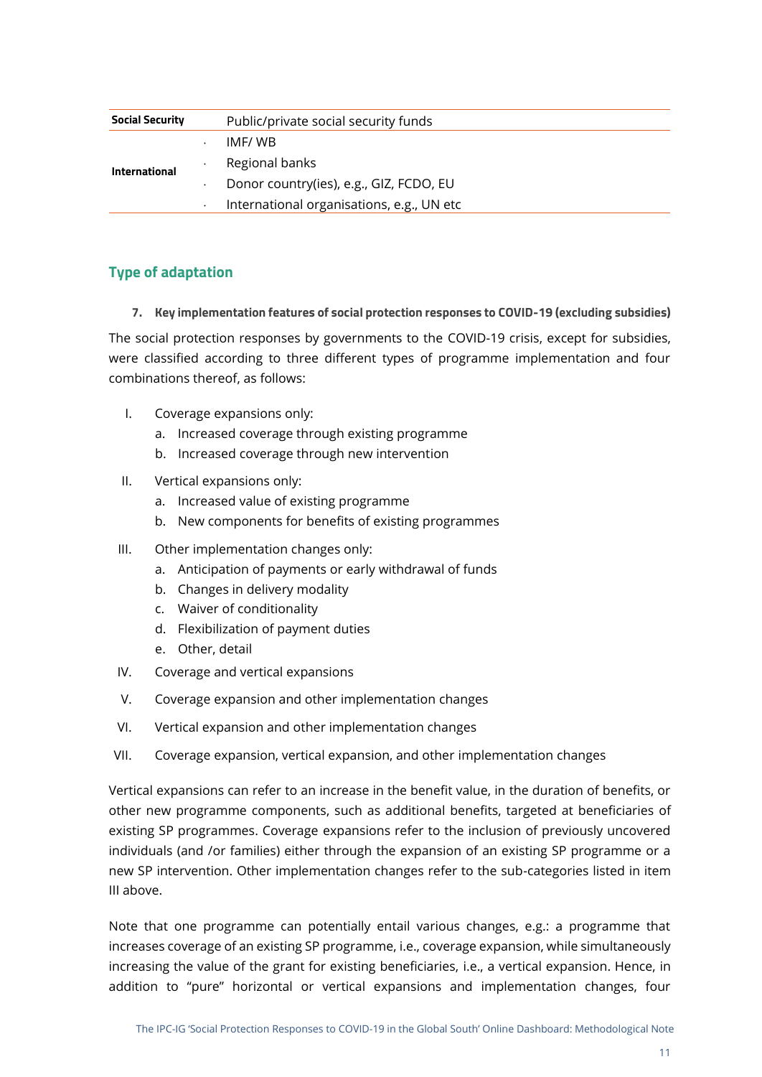| <b>Social Security</b> | Public/private social security funds      |  |  |  |
|------------------------|-------------------------------------------|--|--|--|
|                        | IMF/WB                                    |  |  |  |
| International          | Regional banks                            |  |  |  |
|                        | Donor country(ies), e.g., GIZ, FCDO, EU   |  |  |  |
|                        | International organisations, e.g., UN etc |  |  |  |

#### <span id="page-10-0"></span>**Type of adaptation**

<span id="page-10-1"></span>**7. Key implementation features of social protection responses to COVID-19 (excluding subsidies)**

The social protection responses by governments to the COVID-19 crisis, except for subsidies, were classified according to three different types of programme implementation and four combinations thereof, as follows:

- I. Coverage expansions only:
	- a. Increased coverage through existing programme
	- b. Increased coverage through new intervention
- II. Vertical expansions only:
	- a. Increased value of existing programme
	- b. New components for benefits of existing programmes
- III. Other implementation changes only:
	- a. Anticipation of payments or early withdrawal of funds
	- b. Changes in delivery modality
	- c. Waiver of conditionality
	- d. Flexibilization of payment duties
	- e. Other, detail
- IV. Coverage and vertical expansions
- V. Coverage expansion and other implementation changes
- VI. Vertical expansion and other implementation changes
- VII. Coverage expansion, vertical expansion, and other implementation changes

Vertical expansions can refer to an increase in the benefit value, in the duration of benefits, or other new programme components, such as additional benefits, targeted at beneficiaries of existing SP programmes. Coverage expansions refer to the inclusion of previously uncovered individuals (and /or families) either through the expansion of an existing SP programme or a new SP intervention. Other implementation changes refer to the sub-categories listed in item III above.

Note that one programme can potentially entail various changes, e.g.: a programme that increases coverage of an existing SP programme, i.e., coverage expansion, while simultaneously increasing the value of the grant for existing beneficiaries, i.e., a vertical expansion. Hence, in addition to "pure" horizontal or vertical expansions and implementation changes, four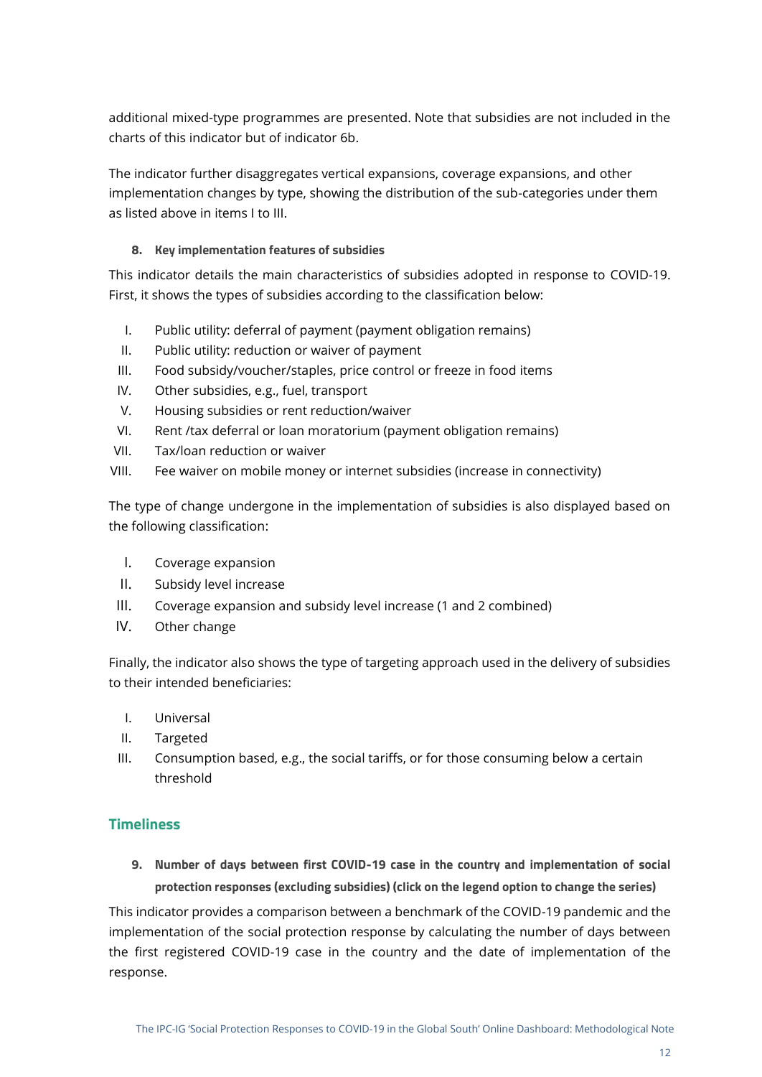additional mixed-type programmes are presented. Note that subsidies are not included in the charts of this indicator but of indicator 6b.

The indicator further disaggregates vertical expansions, coverage expansions, and other implementation changes by type, showing the distribution of the sub-categories under them as listed above in items I to III.

#### <span id="page-11-0"></span>**8. Key implementation features of subsidies**

This indicator details the main characteristics of subsidies adopted in response to COVID-19. First, it shows the types of subsidies according to the classification below:

- I. Public utility: deferral of payment (payment obligation remains)
- II. Public utility: reduction or waiver of payment
- III. Food subsidy/voucher/staples, price control or freeze in food items
- IV. Other subsidies, e.g., fuel, transport
- V. Housing subsidies or rent reduction/waiver
- VI. Rent /tax deferral or loan moratorium (payment obligation remains)
- VII. Tax/loan reduction or waiver
- VIII. Fee waiver on mobile money or internet subsidies (increase in connectivity)

The type of change undergone in the implementation of subsidies is also displayed based on the following classification:

- I. Coverage expansion
- II. Subsidy level increase
- III. Coverage expansion and subsidy level increase (1 and 2 combined)
- IV. Other change

Finally, the indicator also shows the type of targeting approach used in the delivery of subsidies to their intended beneficiaries:

- I. Universal
- II. Targeted
- III. Consumption based, e.g., the social tariffs, or for those consuming below a certain threshold

#### <span id="page-11-1"></span>**Timeliness**

<span id="page-11-2"></span>**9. Number of days between first COVID-19 case in the country and implementation of social protection responses (excluding subsidies) (click on the legend option to change the series)**

This indicator provides a comparison between a benchmark of the COVID-19 pandemic and the implementation of the social protection response by calculating the number of days between the first registered COVID-19 case in the country and the date of implementation of the response.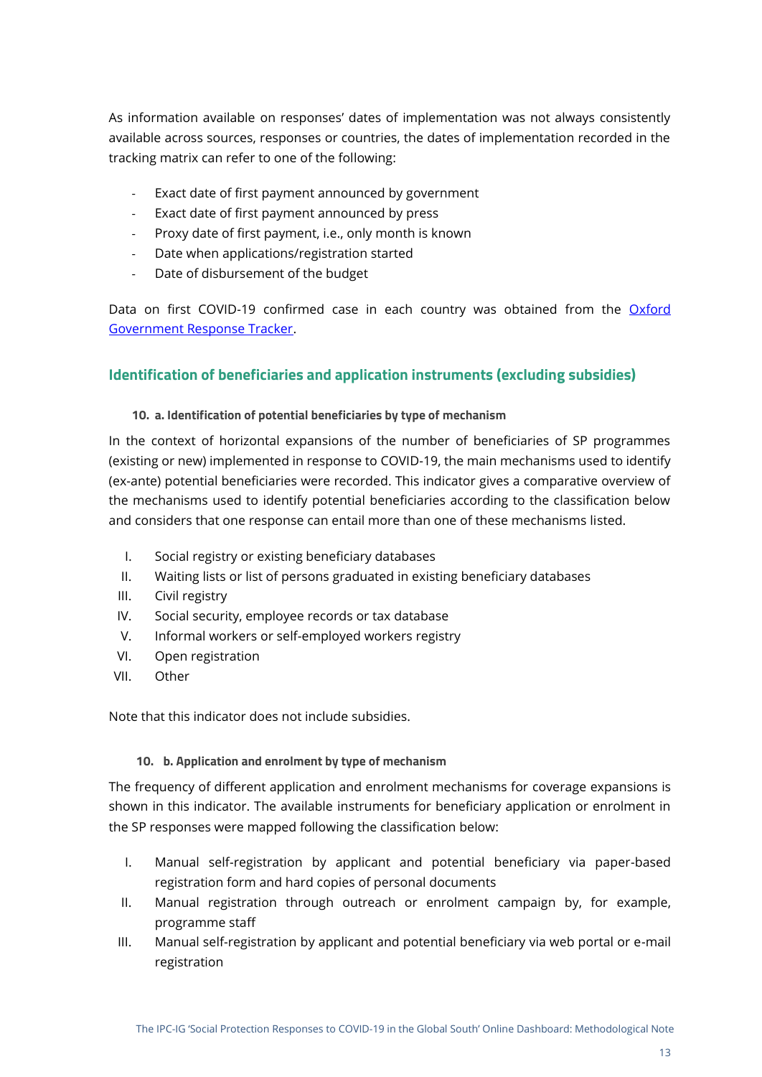As information available on responses' dates of implementation was not always consistently available across sources, responses or countries, the dates of implementation recorded in the tracking matrix can refer to one of the following:

- Exact date of first payment announced by government
- Exact date of first payment announced by press
- Proxy date of first payment, i.e., only month is known
- Date when applications/registration started
- Date of disbursement of the budget

Data on first COVID-19 confirmed case in each country was obtained from the Oxford [Government Response Tracker.](https://covidtracker.bsg.ox.ac.uk/)

#### <span id="page-12-0"></span>**Identification of beneficiaries and application instruments (excluding subsidies)**

#### <span id="page-12-1"></span>**10. a. Identification of potential beneficiaries by type of mechanism**

In the context of horizontal expansions of the number of beneficiaries of SP programmes (existing or new) implemented in response to COVID-19, the main mechanisms used to identify (ex-ante) potential beneficiaries were recorded. This indicator gives a comparative overview of the mechanisms used to identify potential beneficiaries according to the classification below and considers that one response can entail more than one of these mechanisms listed.

- I. Social registry or existing beneficiary databases
- II. Waiting lists or list of persons graduated in existing beneficiary databases
- III. Civil registry
- IV. Social security, employee records or tax database
- V. Informal workers or self-employed workers registry
- VI. Open registration
- VII. Other

Note that this indicator does not include subsidies.

#### **10. b. Application and enrolment by type of mechanism**

<span id="page-12-2"></span>The frequency of different application and enrolment mechanisms for coverage expansions is shown in this indicator. The available instruments for beneficiary application or enrolment in the SP responses were mapped following the classification below:

- I. Manual self-registration by applicant and potential beneficiary via paper-based registration form and hard copies of personal documents
- II. Manual registration through outreach or enrolment campaign by, for example, programme staff
- III. Manual self-registration by applicant and potential beneficiary via web portal or e-mail registration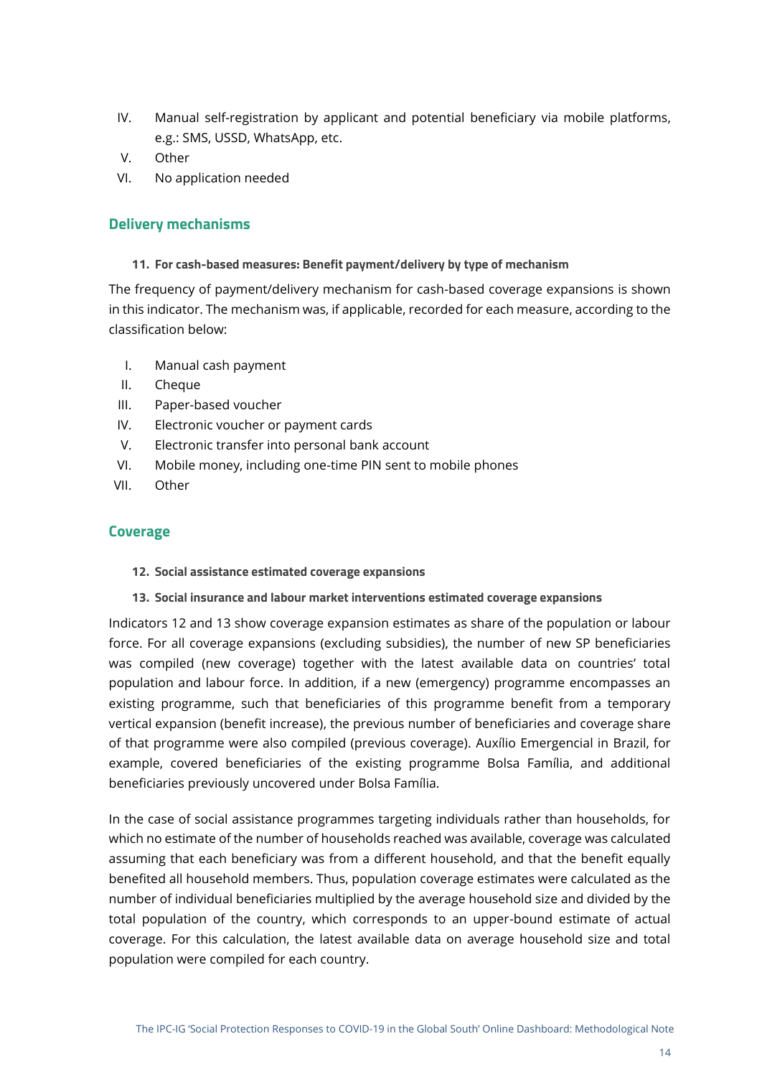- IV. Manual self-registration by applicant and potential beneficiary via mobile platforms, e.g.: SMS, USSD, WhatsApp, etc.
- V. Other
- <span id="page-13-0"></span>VI. No application needed

#### **Delivery mechanisms**

<span id="page-13-1"></span>**11. For cash-based measures: Benefit payment/delivery by type of mechanism**

The frequency of payment/delivery mechanism for cash-based coverage expansions is shown in this indicator. The mechanism was, if applicable, recorded for each measure, according to the classification below:

- I. Manual cash payment
- II. Cheque
- III. Paper-based voucher
- IV. Electronic voucher or payment cards
- V. Electronic transfer into personal bank account
- VI. Mobile money, including one-time PIN sent to mobile phones
- <span id="page-13-2"></span>VII. Other

#### **Coverage**

#### <span id="page-13-3"></span>**12. Social assistance estimated coverage expansions**

<span id="page-13-4"></span>**13. Social insurance and labour market interventions estimated coverage expansions**

Indicators 12 and 13 show coverage expansion estimates as share of the population or labour force. For all coverage expansions (excluding subsidies), the number of new SP beneficiaries was compiled (new coverage) together with the latest available data on countries' total population and labour force. In addition, if a new (emergency) programme encompasses an existing programme, such that beneficiaries of this programme benefit from a temporary vertical expansion (benefit increase), the previous number of beneficiaries and coverage share of that programme were also compiled (previous coverage). Auxílio Emergencial in Brazil, for example, covered beneficiaries of the existing programme Bolsa Família, and additional beneficiaries previously uncovered under Bolsa Família.

In the case of social assistance programmes targeting individuals rather than households, for which no estimate of the number of households reached was available, coverage was calculated assuming that each beneficiary was from a different household, and that the benefit equally benefited all household members. Thus, population coverage estimates were calculated as the number of individual beneficiaries multiplied by the average household size and divided by the total population of the country, which corresponds to an upper-bound estimate of actual coverage. For this calculation, the latest available data on average household size and total population were compiled for each country.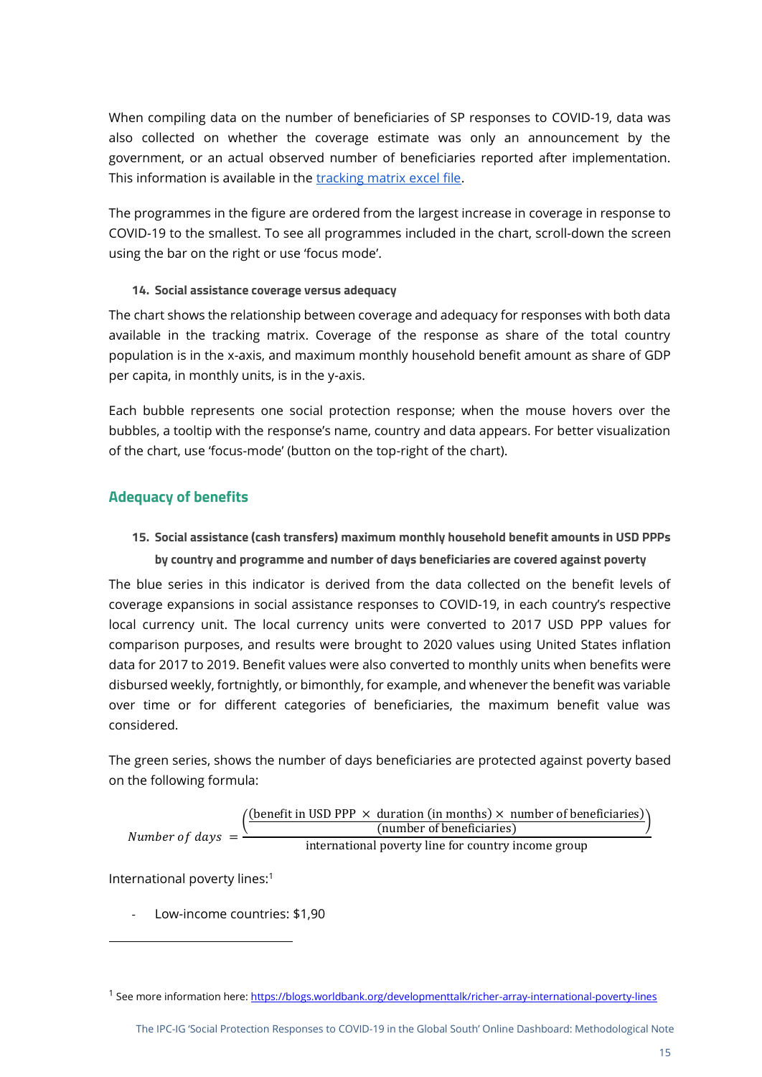When compiling data on the number of beneficiaries of SP responses to COVID-19, data was also collected on whether the coverage estimate was only an announcement by the government, or an actual observed number of beneficiaries reported after implementation. This information is available in the [tracking matrix excel file.](https://docs.google.com/spreadsheets/d/1RDTafJTeJX9tdM_6aCToTRmb8M3JiJyQ/edit#gid=262170207)

The programmes in the figure are ordered from the largest increase in coverage in response to COVID-19 to the smallest. To see all programmes included in the chart, scroll-down the screen using the bar on the right or use 'focus mode'.

#### <span id="page-14-0"></span>**14. Social assistance coverage versus adequacy**

The chart shows the relationship between coverage and adequacy for responses with both data available in the tracking matrix. Coverage of the response as share of the total country population is in the x-axis, and maximum monthly household benefit amount as share of GDP per capita, in monthly units, is in the y-axis.

Each bubble represents one social protection response; when the mouse hovers over the bubbles, a tooltip with the response's name, country and data appears. For better visualization of the chart, use 'focus-mode' (button on the top-right of the chart).

#### <span id="page-14-1"></span>**Adequacy of benefits**

### <span id="page-14-2"></span>**15. Social assistance (cash transfers) maximum monthly household benefit amounts in USD PPPs by country and programme and number of days beneficiaries are covered against poverty**

The blue series in this indicator is derived from the data collected on the benefit levels of coverage expansions in social assistance responses to COVID-19, in each country's respective local currency unit. The local currency units were converted to 2017 USD PPP values for comparison purposes, and results were brought to 2020 values using United States inflation data for 2017 to 2019. Benefit values were also converted to monthly units when benefits were disbursed weekly, fortnightly, or bimonthly, for example, and whenever the benefit was variable over time or for different categories of beneficiaries, the maximum benefit value was considered.

The green series, shows the number of days beneficiaries are protected against poverty based on the following formula:

Number of days = 
$$
\frac{\text{(benefit in USD PPP} \times \text{duration (in months)} \times \text{number of beneficial} \times \text{number of beneficial} \times \text{number of beneficial} \times \text{number of beneficial} \times \text{number of beneficial} \times \text{number of beneficial} \times \text{number of beneficial} \times \text{number of beneficial} \times \text{number of beneficial} \times \text{number of beneficial} \times \text{number of beneficial} \times \text{number of beneficial} \times \text{number of beneficial} \times \text{number of beneficial} \times \text{number of beneficial} \times \text{number of beneficial} \times \text{number of beneficial} \times \text{number of beneficial} \times \text{number of beneficial} \times \text{number of beneficial} \times \text{number of beneficial} \times \text{number of beneficial} \times \text{number of beneficial} \times \text{number of beneficial} \times \text{number of beneficial} \times \text{number of beneficial} \times \text{number of beneficial} \times \text{number of beneficial} \times \text{number of beneficial} \times \text{number of beneficial} \times \text{number of beneficial} \times \text{number of beneficial} \times \text{number of beneficial} \times \text{number of beneficial} \times \text{number of beneficial} \times \text{number of beneficial} \times \text{number of beneficial} \times \text{number of beneficial} \times \text{number of beneficial} \times \text{number of beneficial} \times \text{number of beneficial} \times \text{number of beneficial} \times \text{number of beneficial} \times \text{number of beneficial} \times \text{number of beneficial} \times \text{number of beneficial} \times \text{number of beneficial} \times \text{number of beneficial} \times \text{number of beneficial} \times \text{number of beneficial} \times \text{number of beneficial} \times \text{number of beneficial} \times \text{number of beneficial} \times \text{number of beneficial} \times \text{number of beneficial} \times \text{number of beneficial} \times \text{number of beneficial} \times \text{number of beneficial} \times \text{number of beneficial} \times \text{number of beneficial} \times \text{number of beneficial} \times \text{number of beneficial} \times \text{number of beneficial} \times \text{number of traditional provided by the original image.}
$$

International poverty lines:<sup>1</sup>

- Low-income countries: \$1,90

<sup>&</sup>lt;sup>1</sup> See more information here[: https://blogs.worldbank.org/developmenttalk/richer-array-international-poverty-lines](https://blogs.worldbank.org/developmenttalk/richer-array-international-poverty-lines)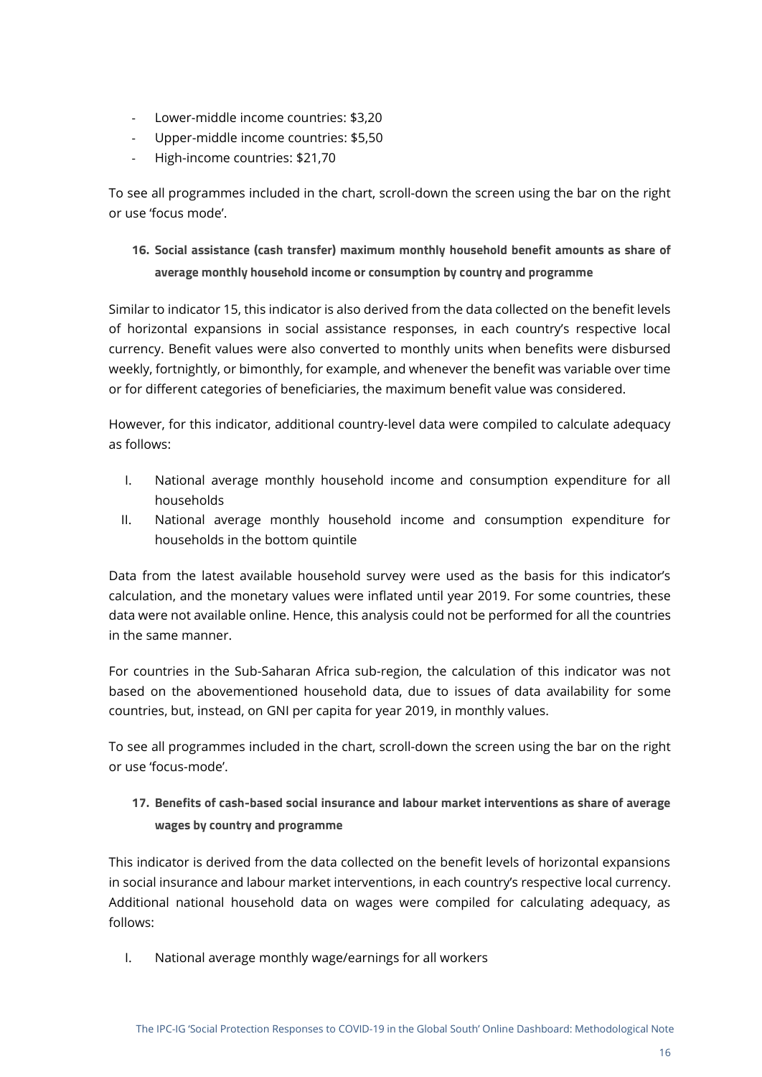- Lower-middle income countries: \$3,20
- Upper-middle income countries: \$5,50
- High-income countries: \$21,70

To see all programmes included in the chart, scroll-down the screen using the bar on the right or use 'focus mode'.

## <span id="page-15-0"></span>**16. Social assistance (cash transfer) maximum monthly household benefit amounts as share of average monthly household income or consumption by country and programme**

Similar to indicator 15, this indicator is also derived from the data collected on the benefit levels of horizontal expansions in social assistance responses, in each country's respective local currency. Benefit values were also converted to monthly units when benefits were disbursed weekly, fortnightly, or bimonthly, for example, and whenever the benefit was variable over time or for different categories of beneficiaries, the maximum benefit value was considered.

However, for this indicator, additional country-level data were compiled to calculate adequacy as follows:

- I. National average monthly household income and consumption expenditure for all households
- II. National average monthly household income and consumption expenditure for households in the bottom quintile

Data from the latest available household survey were used as the basis for this indicator's calculation, and the monetary values were inflated until year 2019. For some countries, these data were not available online. Hence, this analysis could not be performed for all the countries in the same manner.

For countries in the Sub-Saharan Africa sub-region, the calculation of this indicator was not based on the abovementioned household data, due to issues of data availability for some countries, but, instead, on GNI per capita for year 2019, in monthly values.

To see all programmes included in the chart, scroll-down the screen using the bar on the right or use 'focus-mode'.

### <span id="page-15-1"></span>**17. Benefits of cash-based social insurance and labour market interventions as share of average wages by country and programme**

This indicator is derived from the data collected on the benefit levels of horizontal expansions in social insurance and labour market interventions, in each country's respective local currency. Additional national household data on wages were compiled for calculating adequacy, as follows:

I. National average monthly wage/earnings for all workers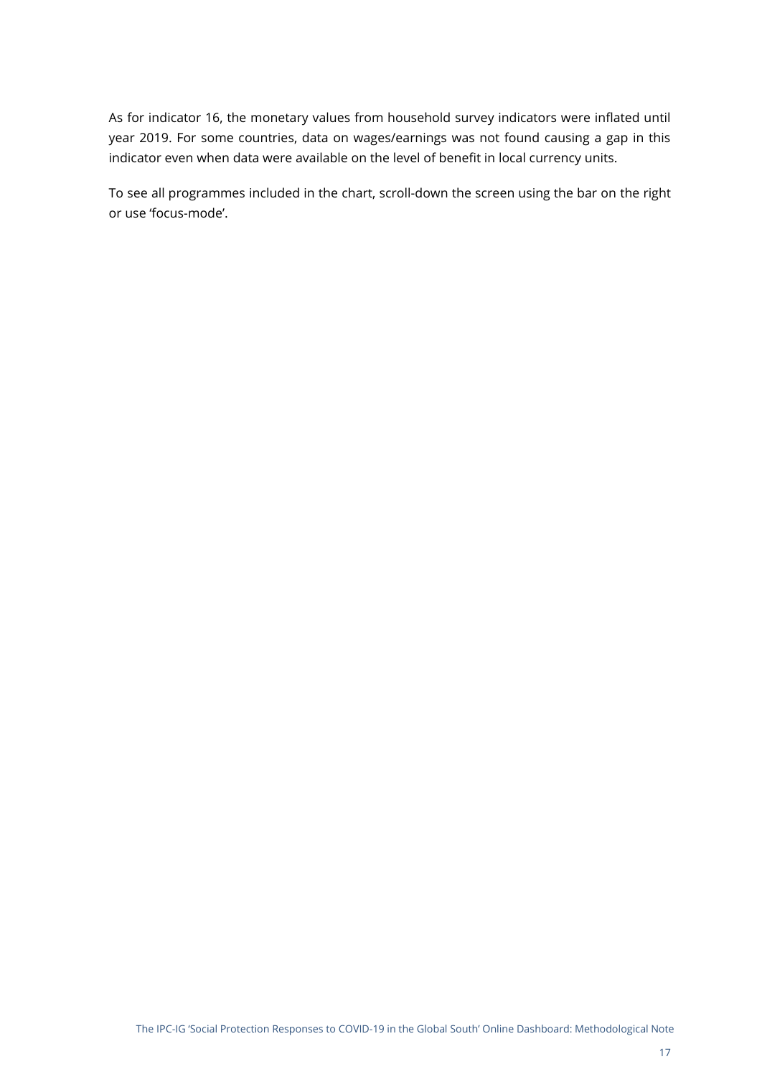As for indicator 16, the monetary values from household survey indicators were inflated until year 2019. For some countries, data on wages/earnings was not found causing a gap in this indicator even when data were available on the level of benefit in local currency units.

To see all programmes included in the chart, scroll-down the screen using the bar on the right or use 'focus-mode'.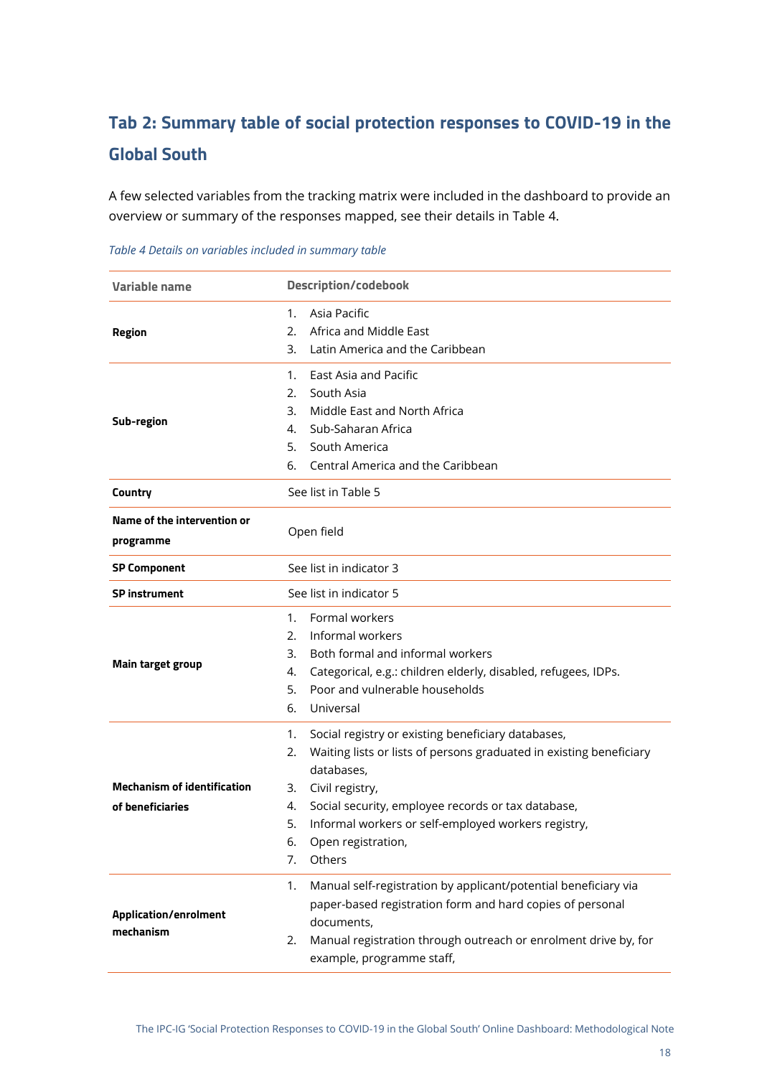## <span id="page-17-0"></span>**Tab 2: Summary table of social protection responses to COVID-19 in the Global South**

A few selected variables from the tracking matrix were included in the dashboard to provide an overview or summary of the responses mapped, see their details in [Table 4.](#page-17-1)

| Variable name                             | <b>Description/codebook</b>                                                                        |  |  |  |
|-------------------------------------------|----------------------------------------------------------------------------------------------------|--|--|--|
|                                           | Asia Pacific<br>1.                                                                                 |  |  |  |
| <b>Region</b>                             | Africa and Middle East<br>2.                                                                       |  |  |  |
|                                           | Latin America and the Caribbean<br>3.                                                              |  |  |  |
|                                           | East Asia and Pacific<br>1.                                                                        |  |  |  |
|                                           | South Asia<br>2.                                                                                   |  |  |  |
| Sub-region                                | Middle East and North Africa<br>3.                                                                 |  |  |  |
|                                           | Sub-Saharan Africa<br>4.                                                                           |  |  |  |
|                                           | 5.<br>South America                                                                                |  |  |  |
|                                           | 6.<br>Central America and the Caribbean                                                            |  |  |  |
| Country                                   | See list in Table 5                                                                                |  |  |  |
| Name of the intervention or               |                                                                                                    |  |  |  |
| programme                                 | Open field                                                                                         |  |  |  |
| <b>SP Component</b>                       | See list in indicator 3                                                                            |  |  |  |
| <b>SP</b> instrument                      | See list in indicator 5                                                                            |  |  |  |
|                                           | Formal workers<br>1.                                                                               |  |  |  |
|                                           | Informal workers<br>2.                                                                             |  |  |  |
|                                           | Both formal and informal workers<br>3.                                                             |  |  |  |
| <b>Main target group</b>                  | Categorical, e.g.: children elderly, disabled, refugees, IDPs.<br>4.                               |  |  |  |
|                                           | Poor and vulnerable households<br>5.                                                               |  |  |  |
|                                           | 6.<br>Universal                                                                                    |  |  |  |
|                                           | Social registry or existing beneficiary databases,<br>1.                                           |  |  |  |
|                                           | Waiting lists or lists of persons graduated in existing beneficiary<br>2.                          |  |  |  |
|                                           | databases.                                                                                         |  |  |  |
| <b>Mechanism of identification</b>        | Civil registry,<br>3.                                                                              |  |  |  |
| of beneficiaries                          | Social security, employee records or tax database,<br>4.                                           |  |  |  |
|                                           | Informal workers or self-employed workers registry,<br>5.                                          |  |  |  |
|                                           | 6.<br>Open registration,                                                                           |  |  |  |
|                                           | 7.<br>Others                                                                                       |  |  |  |
|                                           | Manual self-registration by applicant/potential beneficiary via<br>1.                              |  |  |  |
|                                           | paper-based registration form and hard copies of personal                                          |  |  |  |
| <b>Application/enrolment</b><br>mechanism | documents,                                                                                         |  |  |  |
|                                           | Manual registration through outreach or enrolment drive by, for<br>2.<br>example, programme staff, |  |  |  |

<span id="page-17-1"></span>*Table 4 Details on variables included in summary table*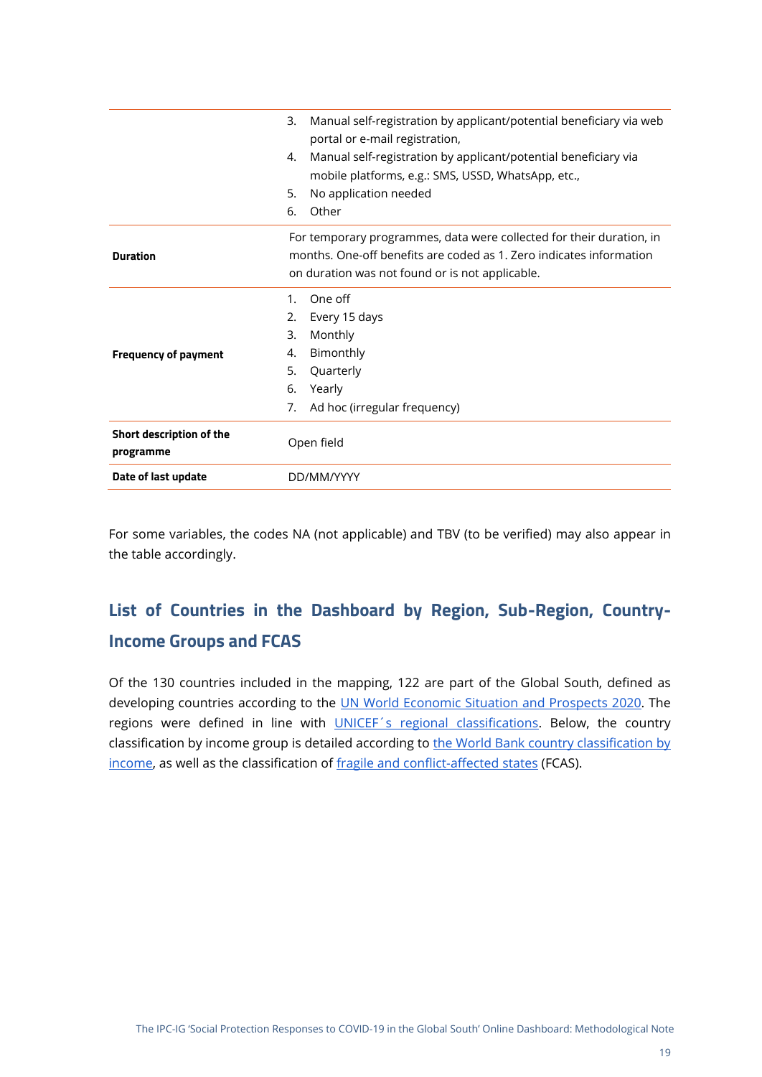|                                       | Manual self-registration by applicant/potential beneficiary via web<br>3.<br>portal or e-mail registration,<br>Manual self-registration by applicant/potential beneficiary via<br>4.<br>mobile platforms, e.g.: SMS, USSD, WhatsApp, etc.,<br>No application needed<br>5.<br>Other<br>6. |
|---------------------------------------|------------------------------------------------------------------------------------------------------------------------------------------------------------------------------------------------------------------------------------------------------------------------------------------|
| <b>Duration</b>                       | For temporary programmes, data were collected for their duration, in<br>months. One-off benefits are coded as 1. Zero indicates information<br>on duration was not found or is not applicable.                                                                                           |
| <b>Frequency of payment</b>           | One off<br>$1_{\cdot}$<br>2.<br>Every 15 days<br>3.<br>Monthly<br>Bimonthly<br>4.<br>5.<br>Quarterly<br>Yearly<br>6.<br>Ad hoc (irregular frequency)<br>7.                                                                                                                               |
| Short description of the<br>programme | Open field                                                                                                                                                                                                                                                                               |
| Date of last update                   | DD/MM/YYYY                                                                                                                                                                                                                                                                               |

For some variables, the codes NA (not applicable) and TBV (to be verified) may also appear in the table accordingly.

## <span id="page-18-0"></span>**List of Countries in the Dashboard by Region, Sub-Region, Country-Income Groups and FCAS**

Of the 130 countries included in the mapping, 122 are part of the Global South, defined as d[e](https://www.un.org/development/desa/dpad/wp-content/uploads/sites/45/WESP2020_Annex.pdf)veloping countries according to the [UN World Economic Situation and Prospects 2020.](https://www.un.org/development/desa/dpad/wp-content/uploads/sites/45/WESP2020_Annex.pdf) The regions were defined in line with **UNICEF's regional classifications**. Below, the country classification by income group is detailed according to the World Bank country classification by [income,](https://datahelpdesk.worldbank.org/knowledgebase/articles/906519-world-bank-country-and-lending-groups) as well as the classification of [fragile and conflict-affected](https://www.worldbank.org/en/topic/fragilityconflictviolence/brief/harmonized-list-of-fragile-situations) states (FCAS).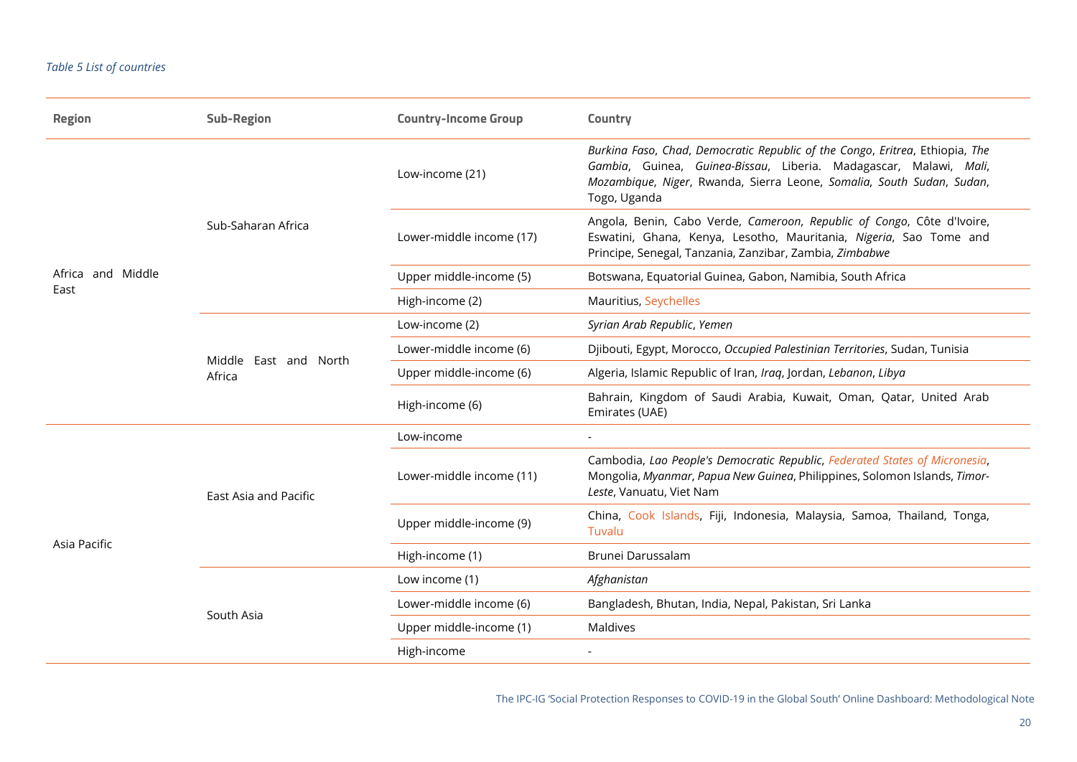#### *Table 5 List of countries*

<span id="page-19-0"></span>

| <b>Region</b>     | <b>Sub-Region</b>     | <b>Country-Income Group</b> | Country                                                                                                                                                                                                                                    |
|-------------------|-----------------------|-----------------------------|--------------------------------------------------------------------------------------------------------------------------------------------------------------------------------------------------------------------------------------------|
|                   |                       | Low-income (21)             | Burkina Faso, Chad, Democratic Republic of the Congo, Eritrea, Ethiopia, The<br>Gambia, Guinea, Guinea-Bissau, Liberia. Madagascar, Malawi, Mali,<br>Mozambique, Niger, Rwanda, Sierra Leone, Somalia, South Sudan, Sudan,<br>Togo, Uganda |
|                   | Sub-Saharan Africa    | Lower-middle income (17)    | Angola, Benin, Cabo Verde, Cameroon, Republic of Congo, Côte d'Ivoire,<br>Eswatini, Ghana, Kenya, Lesotho, Mauritania, Nigeria, Sao Tome and<br>Principe, Senegal, Tanzania, Zanzibar, Zambia, Zimbabwe                                    |
| Africa and Middle |                       | Upper middle-income (5)     | Botswana, Equatorial Guinea, Gabon, Namibia, South Africa                                                                                                                                                                                  |
| East              |                       | High-income (2)             | Mauritius, Seychelles                                                                                                                                                                                                                      |
|                   |                       | Low-income (2)              | Syrian Arab Republic, Yemen                                                                                                                                                                                                                |
|                   | Middle East and North | Lower-middle income (6)     | Djibouti, Egypt, Morocco, Occupied Palestinian Territories, Sudan, Tunisia                                                                                                                                                                 |
|                   | Africa                | Upper middle-income (6)     | Algeria, Islamic Republic of Iran, Iraq, Jordan, Lebanon, Libya                                                                                                                                                                            |
|                   |                       | High-income (6)             | Bahrain, Kingdom of Saudi Arabia, Kuwait, Oman, Qatar, United Arab<br>Emirates (UAE)                                                                                                                                                       |
|                   |                       | Low-income                  | $\blacksquare$                                                                                                                                                                                                                             |
|                   | East Asia and Pacific | Lower-middle income (11)    | Cambodia, Lao People's Democratic Republic, Federated States of Micronesia,<br>Mongolia, Myanmar, Papua New Guinea, Philippines, Solomon Islands, Timor-<br>Leste, Vanuatu, Viet Nam                                                       |
| Asia Pacific      |                       | Upper middle-income (9)     | China, Cook Islands, Fiji, Indonesia, Malaysia, Samoa, Thailand, Tonga,<br>Tuvalu                                                                                                                                                          |
|                   |                       | High-income (1)             | Brunei Darussalam                                                                                                                                                                                                                          |
|                   |                       | Low income (1)              | Afghanistan                                                                                                                                                                                                                                |
|                   | South Asia            | Lower-middle income (6)     | Bangladesh, Bhutan, India, Nepal, Pakistan, Sri Lanka                                                                                                                                                                                      |
|                   |                       | Upper middle-income (1)     | Maldives                                                                                                                                                                                                                                   |
|                   |                       | High-income                 |                                                                                                                                                                                                                                            |

The IPC-IG 'Social Protection Responses to COVID-19 in the Global South' Online Dashboard: Methodological Note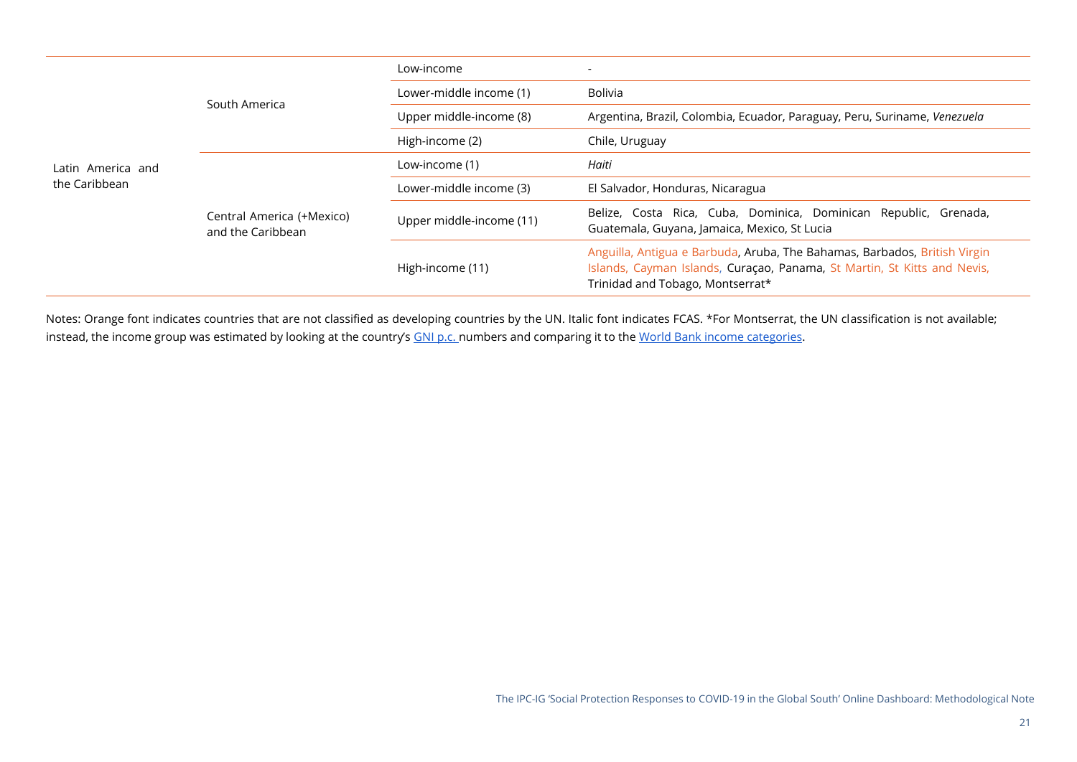|                   | South America                                  | Low-income               | $\overline{\phantom{a}}$                                                                                                                                                                  |
|-------------------|------------------------------------------------|--------------------------|-------------------------------------------------------------------------------------------------------------------------------------------------------------------------------------------|
|                   |                                                | Lower-middle income (1)  | Bolivia                                                                                                                                                                                   |
|                   |                                                | Upper middle-income (8)  | Argentina, Brazil, Colombia, Ecuador, Paraguay, Peru, Suriname, Venezuela                                                                                                                 |
|                   |                                                | High-income (2)          | Chile, Uruguay                                                                                                                                                                            |
| Latin America and |                                                | Low-income (1)           | Haiti                                                                                                                                                                                     |
| the Caribbean     |                                                | Lower-middle income (3)  | El Salvador, Honduras, Nicaragua                                                                                                                                                          |
|                   | Central America (+Mexico)<br>and the Caribbean | Upper middle-income (11) | Belize, Costa Rica, Cuba, Dominica, Dominican Republic, Grenada,<br>Guatemala, Guyana, Jamaica, Mexico, St Lucia                                                                          |
|                   |                                                | High-income (11)         | Anguilla, Antigua e Barbuda, Aruba, The Bahamas, Barbados, British Virgin<br>Islands, Cayman Islands, Curaçao, Panama, St Martin, St Kitts and Nevis,<br>Trinidad and Tobago, Montserrat* |

Notes: Orange font indicates countries that are not classified as developing countries by the UN. Italic font indicates FCAS. \*For Montserrat, the UN classification is not available; instead, the income group was estimated by looking at the country's [GNI p.c. n](https://unstats.un.org/unsd/snaama/CountryProfile)umbers and comparing it to the World Bank [income categories.](https://datahelpdesk.worldbank.org/knowledgebase/articles/906519-world-bank-country-and-lending-groups)